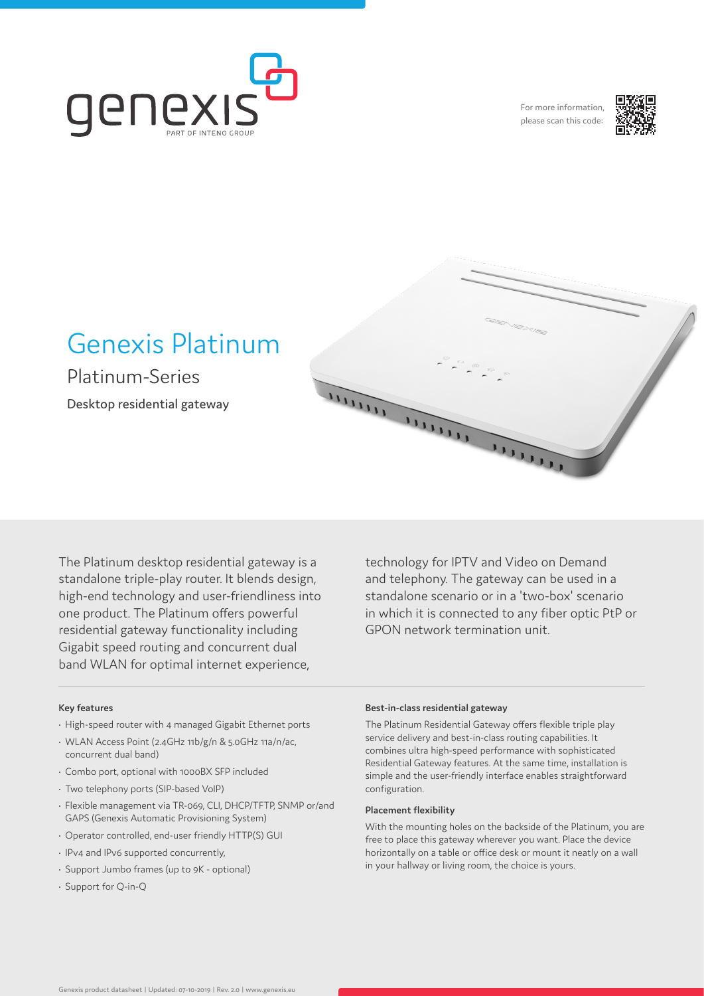

For more information, please scan this code:



# Genexis Platinum

Platinum-Series

Desktop residential gateway

The Platinum desktop residential gateway is a standalone triple-play router. It blends design, high-end technology and user-friendliness into one product. The Platinum offers powerful residential gateway functionality including Gigabit speed routing and concurrent dual band WLAN for optimal internet experience,

technology for IPTV and Video on Demand and telephony. The gateway can be used in a standalone scenario or in a 'two-box' scenario in which it is connected to any fiber optic PtP or GPON network termination unit.

THE

#### **Key features**

- High-speed router with 4 managed Gigabit Ethernet ports
- WLAN Access Point (2.4GHz 11b/g/n & 5.0GHz 11a/n/ac, concurrent dual band)
- Combo port, optional with 1000BX SFP included
- Two telephony ports (SIP-based VoIP)
- Flexible management via TR-069, CLI, DHCP/TFTP, SNMP or/and GAPS (Genexis Automatic Provisioning System)
- Operator controlled, end-user friendly HTTP(S) GUI
- IPv4 and IPv6 supported concurrently,
- Support Jumbo frames (up to 9K optional)
- Support for Q-in-Q

#### **Best-in-class residential gateway**

mun

The Platinum Residential Gateway offers flexible triple play service delivery and best-in-class routing capabilities. It combines ultra high-speed performance with sophisticated Residential Gateway features. At the same time, installation is simple and the user-friendly interface enables straightforward configuration.

# **Placement flexibility**

mun

With the mounting holes on the backside of the Platinum, you are free to place this gateway wherever you want. Place the device horizontally on a table or office desk or mount it neatly on a wall in your hallway or living room, the choice is yours.